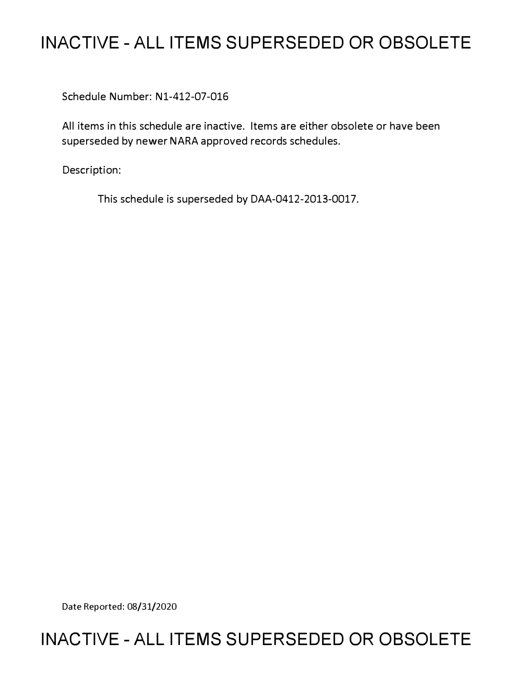## **INACTIVE - ALL ITEMS SUPERSEDED OR OBSOLETE**

Schedule Number: Nl-412-07-016

All items in this schedule are inactive. Items are either obsolete or have been superseded by newer NARA approved records schedules.

Description:

This schedule is superseded by DAA-0412-2013-0017.

Date Reported: 08/31/2020

## **INACTIVE - ALL ITEMS SUPERSEDED OR OBSOLETE**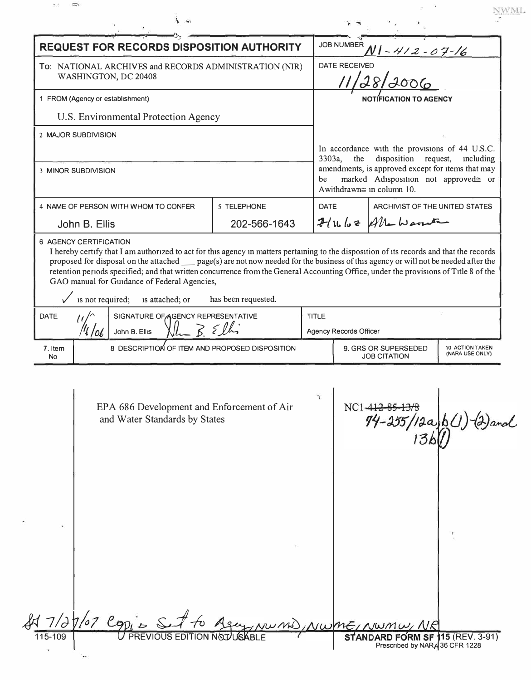|                                                                                |                  | <b>REQUEST FOR RECORDS DISPOSITION AUTHORITY</b>                            |                     |              | <b>JOB NUMBER</b>                                                                                                                                         | <u>NI - 412 - 07 - 16</u>                                                 |                                    |
|--------------------------------------------------------------------------------|------------------|-----------------------------------------------------------------------------|---------------------|--------------|-----------------------------------------------------------------------------------------------------------------------------------------------------------|---------------------------------------------------------------------------|------------------------------------|
| To: NATIONAL ARCHIVES and RECORDS ADMINISTRATION (NIR)<br>WASHINGTON, DC 20408 |                  |                                                                             |                     |              | $\overline{a}$<br>DATE RECEIVED<br>28/2006                                                                                                                |                                                                           |                                    |
| 1 FROM (Agency or establishment)                                               |                  |                                                                             |                     |              | NOTÍFICATION TO AGENCY                                                                                                                                    |                                                                           |                                    |
|                                                                                |                  | U.S. Environmental Protection Agency                                        |                     |              |                                                                                                                                                           |                                                                           |                                    |
| 2 MAJOR SUBDIVISION<br>3 MINOR SUBDIVISION                                     |                  |                                                                             |                     |              | In accordance with the provisions of 44 U.S.C.<br>disposition request,<br>3303a,<br>the<br>including<br>amendments, is approved except for items that may |                                                                           |                                    |
|                                                                                |                  |                                                                             |                     | be           |                                                                                                                                                           | marked Adisposition not approvedes or<br>Awithdrawn $\cong$ in column 10. |                                    |
|                                                                                |                  | 4 NAME OF PERSON WITH WHOM TO CONFER                                        | 5 TELEPHONE         | <b>DATE</b>  |                                                                                                                                                           | ARCHIVIST OF THE UNITED STATES                                            |                                    |
| John B. Ellis                                                                  |                  |                                                                             | 202-566-1643        |              |                                                                                                                                                           | $2\ln\log 2$ Alle Warren                                                  |                                    |
| <b>DATE</b><br>John B. Ellis                                                   |                  |                                                                             |                     |              | Agency Records Officer                                                                                                                                    |                                                                           |                                    |
|                                                                                | is not required; | GAO manual for Guidance of Federal Agencies,<br>is attached; or             | has been requested. |              |                                                                                                                                                           |                                                                           |                                    |
| SIGNATURE OF AGENCY REPRESENTATIVE                                             |                  |                                                                             |                     | <b>TITLE</b> |                                                                                                                                                           |                                                                           |                                    |
|                                                                                |                  |                                                                             |                     |              |                                                                                                                                                           |                                                                           |                                    |
| 7. Item<br>N <sub>o</sub>                                                      |                  | 8 DESCRIPTION OF ITEM AND PROPOSED DISPOSITION                              |                     |              |                                                                                                                                                           | 9. GRS OR SUPERSEDED<br><b>JOB CITATION</b>                               | 10 ACTION TAKEN<br>(NARA USE ONLY) |
|                                                                                |                  | EPA 686 Development and Enforcement of Air<br>and Water Standards by States |                     |              | $NC1 - 412$                                                                                                                                               | $94 - 255/12a(b0)$                                                        |                                    |
|                                                                                |                  | Id 7/27/07 Copies Set to Agen                                               |                     |              |                                                                                                                                                           | NUMO, NWME, NWMW, NR                                                      |                                    |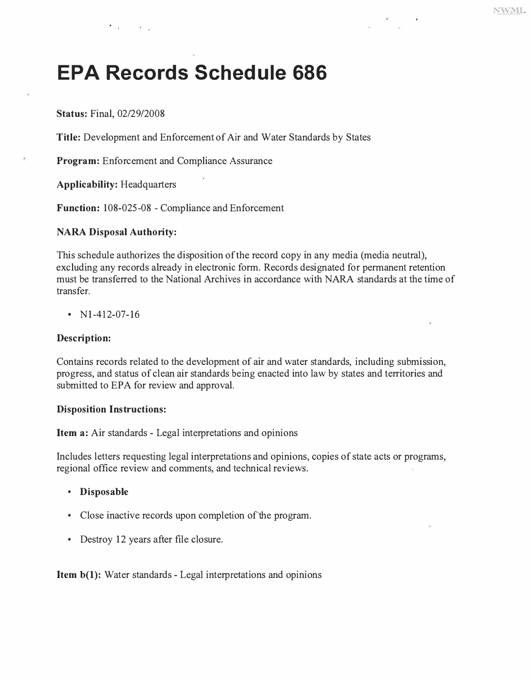# **EPA Records Schedule 686**

**Status:** Final, 02/29/2008

⊁a ka

**Title:** Development and Enforcement of Air and Water Standards by States

**Program:** Enforcement and Compliance Assurance

**Applicability:** Headquarters

**Function:** 108-025-08 - Compliance and Enforcement

#### **NARA Disposal Authority:**

This schedule authorizes the disposition of the record copy in any media (media neutral), excluding any records already in electronic form. Records designated for permanent retention must be transferred to the National Archives in accordance with NARA standards at the time of transfer.

•  $N1-412-07-16$ 

#### **Description:**

Contains records related to the development of air and water standards, including submission, progress, and status of clean air standards being enacted into law by states and territories and submitted to EPA for review and approval.

#### **Disposition Instructions:**

**Item a:** Air standards - Legal interpretations and opinions

Includes letters requesting legal interpretations and-opinions, copies of state acts or programs, regional office review and comments, and technical reviews.

- **Disposable**
- Close inactive records upon completion of the program.
- Destroy 12 years after file closure.

**Item b(1):** Water standards - Legal interpretations and opinions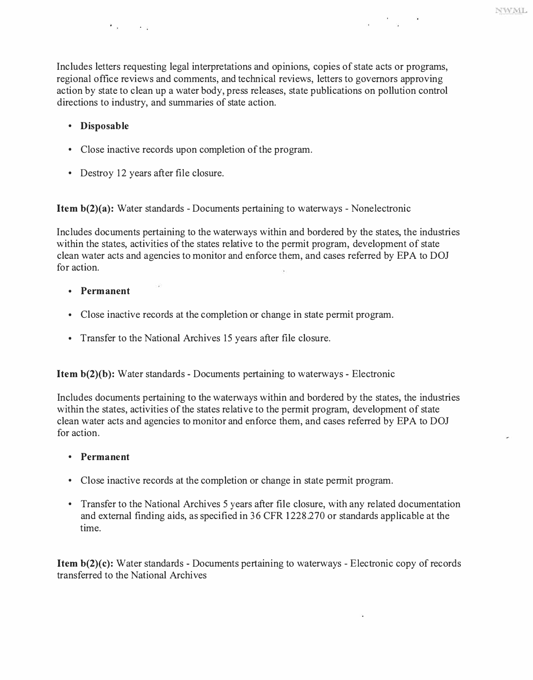Includes letters requesting legal interpretations and opinions, copies of state acts or programs, regional office reviews and comments, and technical reviews, letters to governors approving action by state to clean up a water body, press releases, state publications on pollution control directions to industry, and summaries of state action.

- **Disposable**
- Close inactive records upon completion of the program.
- Destroy 12 years after file closure.

 $x = -1$ 

**Item b(2)(a):** Water standards - Documents pertaining to waterways - Nonelectronic

Includes documents pertaining to the waterways within and bordered by the states, the industries within the states, activities of the states relative to the permit program, development of state clean water acts and agencies to monitor and enforce them, and cases referred by EPA to DOJ for action.

- **Permanent**
- Close inactive records at the completion or change in state permit program.
- Transfer to the National Archives 15 years after file closure.

**Item b(2)(b):** Water standards - Documents pertaining to waterways - Electronic

Includes documents pertaining to the waterways within and bordered by the states, the industries within the states, activities of the states relative to the permit program, development of state clean water acts and agencies to monitor and enforce them, and cases referred by EPA to DOJ for action.

- **Permanent**
- Close inactive records at the completion or change in state permit program.
- Transfer to the National Archives 5 years after file closure, with any related documentation and external finding aids, as specified in 36 CFR 1228.270 or standards applicable at the time.

**Item b(2)(c):** Water standards - Documents pertaining to waterways - Electronic copy of records transferred to the National Archives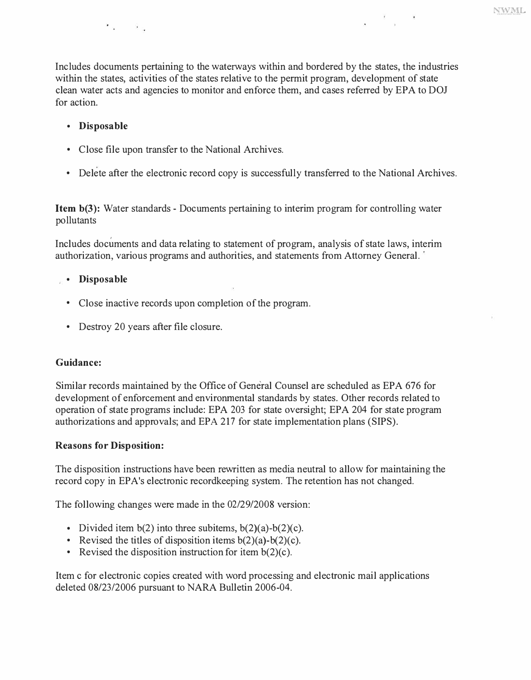$\frac{1}{\sqrt{2}}$ 

Includes documents pertaining to the waterways within and bordered by the states, the industries within the states, activities of the states relative to the permit program, development of state clean water acts and agencies to monitor and enforce them, and cases referred by EPA to DOJ for action.

### **• Disposable**

iv Ro

- Close file upon transfer to the National Archives.
- Delete after the electronic record copy is successfully transferred to the National Archives.

**Item b(3):** Water standards - Documents pertaining to interim program for controlling water pollutants

Includes documents and data relating to statement of program, analysis of state laws, interim authorization, various programs and authorities, and statements from Attorney General.

### **• Disposable**

- Close inactive records upon completion of the program.
- Destroy 20 years after file closure.

### **Guidance:**

Similar records maintained by the Office of General Counsel are scheduled as EPA 676 for development of enforcement and environmental standards by states. Other records related to operation of state programs include: EPA 203 for state oversight; EPA 204 for state program authorizations and approvals; and EPA 217 for state implementation plans (SIPS).

### **Reasons for Disposition:**

The disposition instructions have been rewritten as media neutral to allow for maintaining the record copy in EPA's electronic recordkeeping system. The retention has not changed.

The following changes were made in the 02/29/2008 version:

- Divided item  $b(2)$  into three subitems,  $b(2)(a)-b(2)(c)$ .
- Revised the titles of disposition items  $b(2)(a)-b(2)(c)$ .
- Revised the disposition instruction for item  $b(2)(c)$ .

Item c for electronic copies created with word processing and electronic mail applications deleted 08/23/2006 pursuant to NARA Bulletin 2006-04.